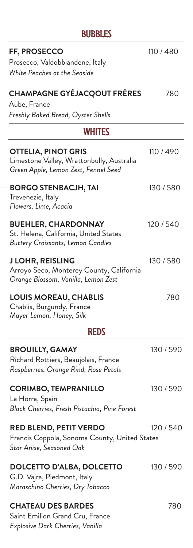| BUBBLES                                                                                                         |           |
|-----------------------------------------------------------------------------------------------------------------|-----------|
| <b>FF, PROSECCO</b><br>Prosecco, Valdobbiandene, Italy<br>White Peaches at the Seaside                          | 110/480   |
| <b>CHAMPAGNE GYÉJACQOUT FRÉRES</b><br>Aube, France<br>Freshly Baked Bread, Oyster Shells                        | 780       |
| <b>WHITES</b>                                                                                                   |           |
| <b>OTTELIA, PINOT GRIS</b><br>Limestone Valley, Wrattonbully, Australia<br>Green Apple, Lemon Zest, Fennel Seed | 110 / 490 |
| <b>BORGO STENBACJH, TAI</b><br>Trevenezie, Italy<br>Flowers, Lime, Acacia                                       | 130/580   |
| <b>BUEHLER, CHARDONNAY</b><br>St. Helena, California, United States<br>Buttery Croissants, Lemon Candies        | 120 / 540 |
| <b>J LOHR, REISLING</b><br>Arroyo Seco, Monterey County, California<br>Orange Blossom, Vanilla, Lemon Zest      | 130 / 580 |
| <b>LOUIS MOREAU, CHABLIS</b><br>Chablis, Burgundy, France<br>Mayer Lemon, Honey, Silk                           | 780       |
| <b>REDS</b>                                                                                                     |           |
| <b>BROUILLY, GAMAY</b><br>Richard Rottiers, Beaujolais, France<br>Raspberries, Orange Rind, Rose Petals         | 130 / 590 |
| <b>CORIMBO, TEMPRANILLO</b><br>La Horra, Spain<br>Black Cherries, Fresh Pistachio, Pine Forest                  | 130 / 590 |
| <b>RED BLEND, PETIT VERDO</b><br>Francis Coppola, Sonoma County, United States<br>Star Anise, Seasoned Oak      | 120 / 540 |
| <b>DOLCETTO D'ALBA, DOLCETTO</b><br>G.D. Vajra, Piedmont, Italy<br>Maraschino Cherries, Dry Tobacco             | 130 / 590 |
| <b>CHATEAU DES BARDES</b><br>Saint Emilion Grand Cru, France<br>Explosive Dark Cherries, Vanilla                | 780       |